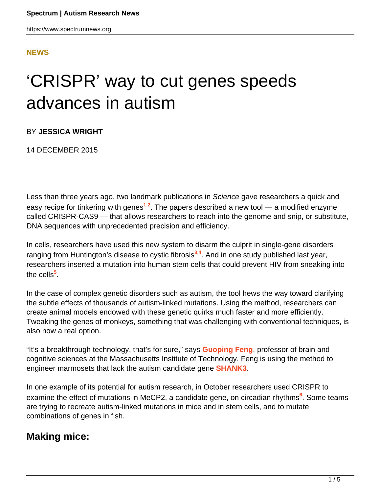#### **[NEWS](HTTPS://WWW.SPECTRUMNEWS.ORG/NEWS/)**

# 'CRISPR' way to cut genes speeds advances in autism

BY **JESSICA WRIGHT**

14 DECEMBER 2015

Less than three years ago, two landmark publications in Science gave researchers a quick and easy recipe for tinkering with genes**<sup>1</sup>**,**<sup>2</sup>** . The papers described a new tool — a modified enzyme called CRISPR-CAS9 — that allows researchers to reach into the genome and snip, or substitute, DNA sequences with unprecedented precision and efficiency.

In cells, researchers have used this new system to disarm the culprit in single-gene disorders ranging from Huntington's disease to cystic fibrosis**<sup>3</sup>**,**<sup>4</sup>** . And in one study published last year, researchers inserted a mutation into human stem cells that could prevent HIV from sneaking into the cells**<sup>5</sup>** .

In the case of complex genetic disorders such as autism, the tool hews the way toward clarifying the subtle effects of thousands of autism-linked mutations. Using the method, researchers can create animal models endowed with these genetic quirks much faster and more efficiently. Tweaking the genes of monkeys, something that was challenging with conventional techniques, is also now a real option.

"It's a breakthrough technology, that's for sure," says **[Guoping Feng](https://www.spectrumnews.org/news/profiles/guoping-feng-unearthing-the-roots-of-compulsive-behavior/)**, professor of brain and cognitive sciences at the Massachusetts Institute of Technology. Feng is using the method to engineer marmosets that lack the autism candidate gene **[SHANK3](http://www.spectrumnews.org/wiki/shank3)**.

In one example of its potential for autism research, in October researchers used CRISPR to examine the effect of mutations in MeCP2, a candidate gene, on circadian rhythms**<sup>6</sup>** . Some teams are trying to recreate autism-linked mutations in mice and in stem cells, and to mutate combinations of genes in fish.

#### **Making mice:**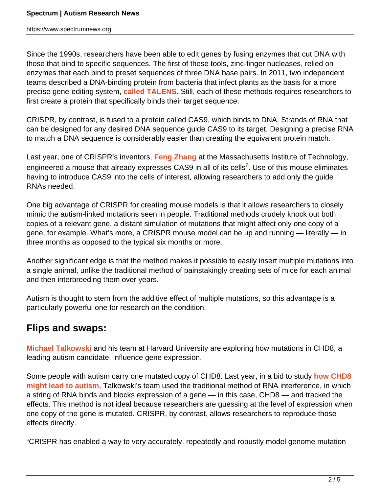Since the 1990s, researchers have been able to edit genes by fusing enzymes that cut DNA with those that bind to specific sequences. The first of these tools, zinc-finger nucleases, relied on enzymes that each bind to preset sequences of three DNA base pairs. In 2011, two independent teams described a DNA-binding protein from bacteria that infect plants as the basis for a more precise gene-editing system, **[called TALENS](https://www.spectrumnews.org/news/genome-editing-tools-compose-new-models-of-autism/)**. Still, each of these methods requires researchers to first create a protein that specifically binds their target sequence.

CRISPR, by contrast, is fused to a protein called CAS9, which binds to DNA. Strands of RNA that can be designed for any desired DNA sequence guide CAS9 to its target. Designing a precise RNA to match a DNA sequence is considerably easier than creating the equivalent protein match.

Last year, one of CRISPR's inventors, **[Feng Zhang](http://mcgovern.mit.edu/principal-investigators/feng-zhang)** at the Massachusetts Institute of Technology, engineered a mouse that already expresses CAS9 in all of its cells**<sup>7</sup>** . Use of this mouse eliminates having to introduce CAS9 into the cells of interest, allowing researchers to add only the guide RNAs needed.

One big advantage of CRISPR for creating mouse models is that it allows researchers to closely mimic the autism-linked mutations seen in people. Traditional methods crudely knock out both copies of a relevant gene, a distant simulation of mutations that might affect only one copy of a gene, for example. What's more, a CRISPR mouse model can be up and running — literally — in three months as opposed to the typical six months or more.

Another significant edge is that the method makes it possible to easily insert multiple mutations into a single animal, unlike the traditional method of painstakingly creating sets of mice for each animal and then interbreeding them over years.

Autism is thought to stem from the additive effect of multiple mutations, so this advantage is a particularly powerful one for research on the condition.

### **Flips and swaps:**

**[Michael Talkowski](https://www.spectrumnews.org/author/talkowski/)** and his team at Harvard University are exploring how mutations in CHD8, a leading autism candidate, influence gene expression.

Some people with autism carry one mutated copy of CHD8. Last year, in a bid to study **[how CHD8](https://www.spectrumnews.org/news/studies-trace-far-reaching-effects-of-single-autism-gene/) [might lead to autism](https://www.spectrumnews.org/news/studies-trace-far-reaching-effects-of-single-autism-gene/)**, Talkowski's team used the traditional method of RNA interference, in which a string of RNA binds and blocks expression of a gene — in this case, CHD8 — and tracked the effects. This method is not ideal because researchers are guessing at the level of expression when one copy of the gene is mutated. CRISPR, by contrast, allows researchers to reproduce those effects directly.

"CRISPR has enabled a way to very accurately, repeatedly and robustly model genome mutation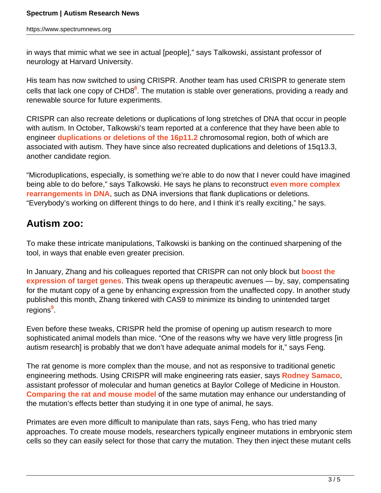in ways that mimic what we see in actual [people]," says Talkowski, assistant professor of neurology at Harvard University.

His team has now switched to using CRISPR. Another team has used CRISPR to generate stem cells that lack one copy of CHD8<sup>8</sup>. The mutation is stable over generations, providing a ready and renewable source for future experiments.

CRISPR can also recreate deletions or duplications of long stretches of DNA that occur in people with autism. In October, Talkowski's team reported at a conference that they have been able to engineer **[duplications or deletions of the 16p11.2](https://www.spectrumnews.org/news/dispatches-from-ashg-2015/)** chromosomal region, both of which are associated with autism. They have since also recreated duplications and deletions of 15q13.3, another candidate region.

"Microduplications, especially, is something we're able to do now that I never could have imagined being able to do before," says Talkowski. He says he plans to reconstruct **[even more complex](https://www.spectrumnews.org/news/intricate-dna-flips-swaps-found-in-people-with-autism/) [rearrangements in DNA](https://www.spectrumnews.org/news/intricate-dna-flips-swaps-found-in-people-with-autism/)**, such as DNA inversions that flank duplications or deletions. "Everybody's working on different things to do here, and I think it's really exciting," he says.

## **Autism zoo:**

To make these intricate manipulations, Talkowski is banking on the continued sharpening of the tool, in ways that enable even greater precision.

In January, Zhang and his colleagues reported that CRISPR can not only block but **[boost the](https://www.spectrumnews.org/news/tweak-to-molecular-scissors-cuts-path-to-turn-on-genes/) [expression of target genes](https://www.spectrumnews.org/news/tweak-to-molecular-scissors-cuts-path-to-turn-on-genes/)**. This tweak opens up therapeutic avenues — by, say, compensating for the mutant copy of a gene by enhancing expression from the unaffected copy. In another study published this month, Zhang tinkered with CAS9 to minimize its binding to unintended target regions**<sup>9</sup>** .

Even before these tweaks, CRISPR held the promise of opening up autism research to more sophisticated animal models than mice. "One of the reasons why we have very little progress [in autism research] is probably that we don't have adequate animal models for it," says Feng.

The rat genome is more complex than the mouse, and not as responsive to traditional genetic engineering methods. Using CRISPR will make engineering rats easier, says **[Rodney Samaco](http://www.nri.texaschildrens.org/faculty_research/rodney_samaco.aspx)**, assistant professor of molecular and human genetics at Baylor College of Medicine in Houston. **[Comparing the rat and mouse model](https://www.spectrumnews.org/news/differences-between-rodents-show-limitations-of-models/)** of the same mutation may enhance our understanding of the mutation's effects better than studying it in one type of animal, he says.

Primates are even more difficult to manipulate than rats, says Feng, who has tried many approaches. To create mouse models, researchers typically engineer mutations in embryonic stem cells so they can easily select for those that carry the mutation. They then inject these mutant cells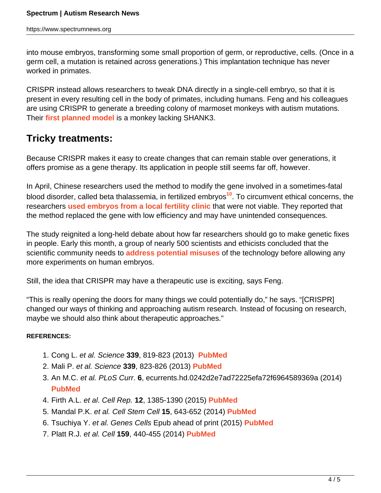into mouse embryos, transforming some small proportion of germ, or reproductive, cells. (Once in a germ cell, a mutation is retained across generations.) This implantation technique has never worked in primates.

CRISPR instead allows researchers to tweak DNA directly in a single-cell embryo, so that it is present in every resulting cell in the body of primates, including humans. Feng and his colleagues are using CRISPR to generate a breeding colony of marmoset monkeys with autism mutations. Their **[first planned model](https://www.spectrumnews.org/news/monkey-models-march-into-autism-research-arena/)** is a monkey lacking SHANK3.

#### **Tricky treatments:**

Because CRISPR makes it easy to create changes that can remain stable over generations, it offers promise as a gene therapy. Its application in people still seems far off, however.

In April, Chinese researchers used the method to modify the gene involved in a sometimes-fatal blood disorder, called beta thalassemia, in fertilized embryos**<sup>10</sup>**. To circumvent ethical concerns, the researchers **[used embryos from a local fertility clinic](http://www.nature.com/news/chinese-scientists-genetically-modify-human-embryos-1.17378)** that were not viable. They reported that the method replaced the gene with low efficiency and may have unintended consequences.

The study reignited a long-held debate about how far researchers should go to make genetic fixes in people. Early this month, a group of nearly 500 scientists and ethicists concluded that the scientific community needs to **[address potential misuses](https://www.spectrumnews.org/news/spotted/outgrowing-autism-scrutinizing-cells-editing-history/)** of the technology before allowing any more experiments on human embryos.

Still, the idea that CRISPR may have a therapeutic use is exciting, says Feng.

"This is really opening the doors for many things we could potentially do," he says. "[CRISPR] changed our ways of thinking and approaching autism research. Instead of focusing on research, maybe we should also think about therapeutic approaches."

#### **REFERENCES:**

- 1. Cong L. et al. Science **339**, 819-823 (2013) **[PubMed](http://www.ncbi.nlm.nih.gov/pubmed/23287718)**
- 2. Mali P. et al. Science **339**, 823-826 (2013) **[PubMed](http://www.ncbi.nlm.nih.gov/pubmed/23287722)**
- 3. An M.C. et al. PLoS Curr. **6**, ecurrents.hd.0242d2e7ad72225efa72f6964589369a (2014) **[PubMed](http://www.ncbi.nlm.nih.gov/pubmed/24761311)**
- 4. Firth A.L. et al. Cell Rep. **12**, 1385-1390 (2015) **[PubMed](http://www.ncbi.nlm.nih.gov/pubmed/26299960)**
- 5. Mandal P.K. et al. Cell Stem Cell **15**, 643-652 (2014) **[PubMed](http://www.ncbi.nlm.nih.gov/pubmed/25517468)**
- 6. Tsuchiya Y. et al. Genes Cells Epub ahead of print (2015) **[PubMed](http://www.ncbi.nlm.nih.gov/pubmed/26456390)**
- 7. Platt R.J. et al. Cell **159**, 440-455 (2014) **[PubMed](http://www.ncbi.nlm.nih.gov/pubmed/25263330)**